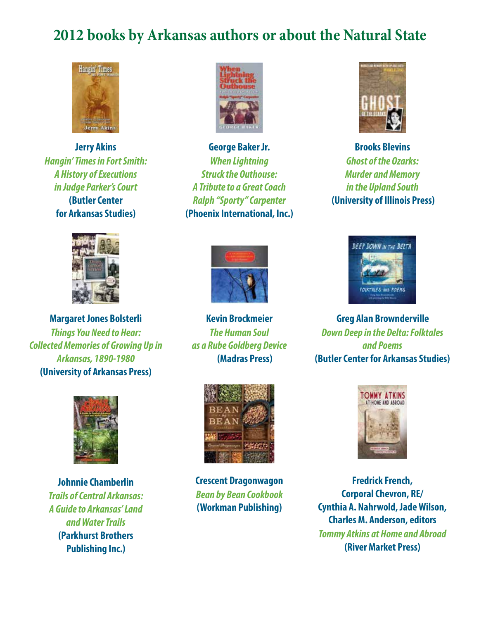## **2012 books by Arkansas authors or about the Natural State**



**Jerry Akins** *Hangin' Times in Fort Smith: A History of Executions in Judge Parker's Court* **(Butler Center for Arkansas Studies)**



**Margaret Jones Bolsterli** *Things You Need to Hear: Collected Memories of Growing Up in Arkansas, 1890-1980* **(University of Arkansas Press)**



**Johnnie Chamberlin** *Trails of Central Arkansas: A Guide to Arkansas' Land and Water Trails* **(Parkhurst Brothers Publishing Inc.)**



**George Baker Jr.** *When Lightning Struck the Outhouse: A Tribute to a Great Coach Ralph "Sporty" Carpenter* **(Phoenix International, Inc.)**



**Brooks Blevins** *Ghost of the Ozarks: Murder and Memory in the Upland South* **(University of Illinois Press)**



**Kevin Brockmeier** *The Human Soul as a Rube Goldberg Device* **(Madras Press)**



**Crescent Dragonwagon** *Bean by Bean Cookbook* **(Workman Publishing)**



**Greg Alan Brownderville** *Down Deep in the Delta: Folktales and Poems* **(Butler Center for Arkansas Studies)**



**Fredrick French, Corporal Chevron, RE/ Cynthia A. Nahrwold, Jade Wilson, Charles M. Anderson, editors**  *Tommy Atkins at Home and Abroad* **(River Market Press)**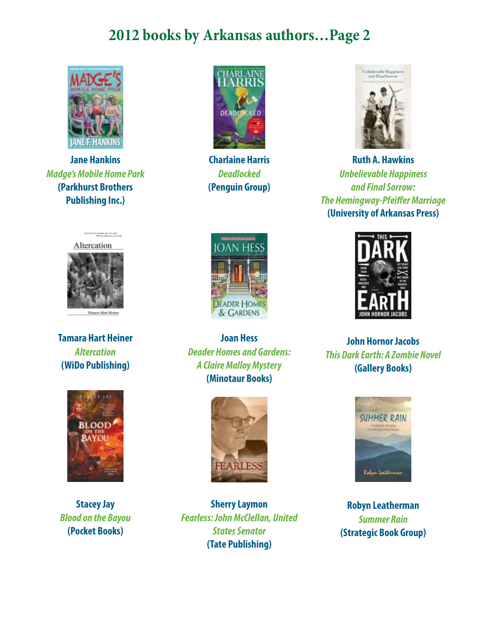## **2012 books by Arkansas authors…Page 2**



**Jane Hankins** *Madge's Mobile Home Park* **(Parkhurst Brothers Publishing Inc.)**



**Charlaine Harris** *Deadlocked* **(Penguin Group)**



**Ruth A. Hawkins** *Unbelievable Happiness and Final Sorrow:*  **The Hemingway-Pfeiffer Marriage (University of Arkansas Press)**



**Tamara Hart Heiner** *Altercation* **(WiDo Publishing)**



**Stacey Jay** *Blood on the Bayou* **(Pocket Books)**



 **Joan Hess** *Deader Homes and Gardens: A Claire Malloy Mystery* **(Minotaur Books)**



**Sherry Laymon** *Fearless: John McClellan, United States Senator* **(Tate Publishing)**



**John Hornor Jacobs** *This Dark Earth: A Zombie Novel* **(Gallery Books)**



**Robyn Leatherman** *Summer Rain* **(Strategic Book Group)**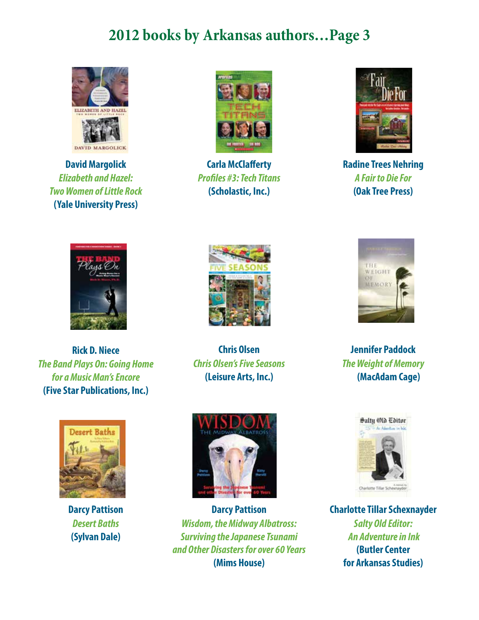## **2012 books by Arkansas authors…Page 3**



**David Margolick** *Elizabeth and Hazel: Two Women of Little Rock* **(Yale University Press)**



**Carla McClafferty** *Profi les #3: Tech Titans* **(Scholastic, Inc.)**



**Radine Trees Nehring** *A Fair to Die For* **(Oak Tree Press)**



**Rick D. Niece** *The Band Plays On: Going Home for a Music Man's Encore* **(Five Star Publications, Inc.)**



**Chris Olsen** *Chris Olsen's Five Seasons* **(Leisure Arts, Inc.)**



**Jennifer Paddock** *The Weight of Memory* **(MacAdam Cage)**



**Darcy Pattison** *Desert Baths* **(Sylvan Dale)**



**Darcy Pattison** *Wisdom, the Midway Albatross: Surviving the Japanese Tsunami and Other Disasters for over 60 Years* **(Mims House)**



**Charlotte Tillar Schexnayder** *Salty Old Editor: An Adventure in Ink* **(Butler Center for Arkansas Studies)**